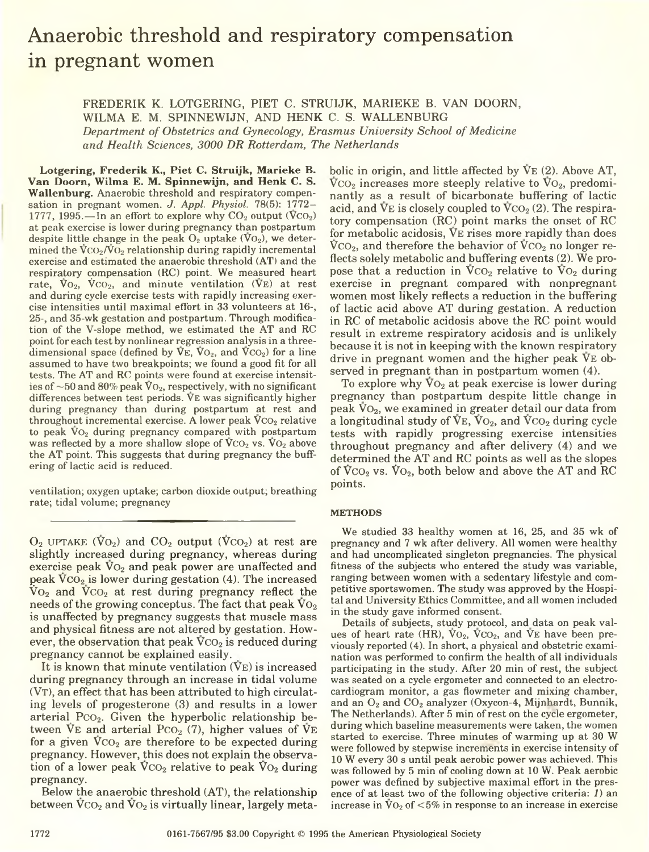# Anaerobic threshold and respiratory compensation in pregnant women

FREDERIK K. LOTGERING, PIET C. STRUIJK, MARIEKE B. VAN DOORN, WILMA E. M. SPINNEWIJN, AND HENK C. S. WALLENBURG *Department of Obstetrics and Gynecology, Erasmus University School of Medicine and Health Sciences, 3000 DR Rotterdam, The Netherlands*

Lotgering, Frederik K., Piet C. Struijk, Marieke B. Van Doorn, Wilma E. M. Spinnewijn, and Henk C. S. Wallenburg. Anaerobic threshold and respiratory compensation in pregnant women. *J. Appl. Physiol.* 78(5): 1772- 1777, 1995.—In an effort to explore why  $CO_2$  output  $(VCO_2)$ at peak exercise is lower during pregnancy than postpartum despite little change in the peak  $O_2$  uptake  $(\overline{V}O_2)$ , we determined the  $\sqrt{\sigma_2/\sigma_2}$  relationship during rapidly incremental exercise and estimated the anaerobic threshold (AT) and the respiratory compensation (RC) point. We measured heart rate,  $V_{\text{O}_2}$ ,  $V_{\text{CO}_2}$ , and minute ventilation ( $V_{\text{E}}$ ) at rest and during cycle exercise tests with rapidly increasing exercise intensities until maximal effort in 33 volunteers at 16-, 25-, and 35-wk gestation and postpartum. Through modification of the V-slope method, we estimated the AT and RC point for each test by nonlinear regression analysis in a threedimensional space (defined by  $V \to V_{Q_2}$ , and  $V \to Q_2$ ) for a line assumed to have two breakpoints; we found a good fit for all tests. The AT and RC points were found at exercise intensities of  $\sim$  50 and 80% peak  $\rm\bar{V}o_{2}$ , respectively, with no significant differences between test periods. Ve was significantly higher during pregnancy than during postpartum at rest and throughout incremental exercise. A lower peak  $VCO<sub>2</sub>$  relative to peak  $\bar{V}_{Q_2}$  during pregnancy compared with postpartum was reflected by a more shallow slope of  $\bar{V}CO_2$  vs.  $\bar{V}O_2$  above the AT point. This suggests that during pregnancy the buffering of lactic acid is reduced.

ventilation; oxygen uptake; carbon dioxide output; breathing rate; tidal volume; pregnancy

 $O_2$  UPTAKE (V $O_2$ ) and  $CO_2$  output (V $CO_2$ ) at rest are slightly increased during pregnancy, whereas during exercise peak  $\overline{V}o_2$  and peak power are unaffected and peak  $\rm VCO_2$  is lower during gestation (4). The increased  $\rm{Vo}_2$  and  $\rm{Vco}_2$  at rest during pregnancy reflect the needs of the growing conceptus. The fact that peak  $V_{{\rm O}_2}$ is unaffected by pregnancy suggests that muscle mass and physical fitness are not altered by gestation. However, the observation that peak  $VCO<sub>2</sub>$  is reduced during pregnancy cannot be explained easily.

It is known that minute ventilation  $(V_E)$  is increased during pregnancy through an increase in tidal volume  $(V_T)$ , an effect that has been attributed to high circulating levels of progesterone (3) and results in a lower arterial P $CO<sub>2</sub>$ . Given the hyperbolic relationship between  $V_{\text{E}}$  and arterial Pco<sub>2</sub> (7), higher values of  $V_{\text{E}}$ for a given  $VCO<sub>2</sub>$  are therefore to be expected during pregnancy. However, this does not explain the observation of a lower peak  $VCO<sub>2</sub>$  relative to peak  $VO<sub>2</sub>$  during pregnancy.

Below the anaerobic threshold (AT), the relationship between  $VCO<sub>2</sub>$  and  $VO<sub>2</sub>$  is virtually linear, largely metabolic in origin, and little affected by  $V_{E}$  (2). Above AT,  $VCO<sub>2</sub>$  increases more steeply relative to  $VO<sub>2</sub>$ , predominantly as a result of bicarbonate buffering of lactic acid, and  $V_{\text{E}}$  is closely coupled to  $V_{\text{CO}_2}(2)$ . The respiratory compensation (RC) point marks the onset of RC for metabolic acidosis, Ve rises more rapidly than does  $VCO<sub>2</sub>$ , and therefore the behavior of  $VCO<sub>2</sub>$  no longer reflects solely metabolic and buffering events (2). We propose that a reduction in  $\rm{VCO}_2$  relative to  $\rm{VO}_2$  during exercise in pregnant compared with nonpregnant women most likely reflects a reduction in the buffering of lactic acid above AT during gestation. A reduction in RC of metabolic acidosis above the RC point would result in extreme respiratory acidosis and is unlikely because it is not in keeping with the known respiratory drive in pregnant women and the higher peak Ve observed in pregnant than in postpartum women (4).

To explore why  $\overline{V}o_2$  at peak exercise is lower during pregnancy than postpartum despite little change in peak  $\rm{Vo}_2$ , we examined in greater detail our data from a longitudinal study of  $V_{E}$ ,  $V_{O_2}$ , and  $V_{CO_2}$  during cycle tests with rapidly progressing exercise intensities throughout pregnancy and after delivery (4) and we determined the AT and RC points as well as the slopes of  $VCO<sub>2</sub>$  vs.  $\overline{V}O<sub>2</sub>$ , both below and above the AT and RC points.

# **METHODS**

We studied 33 healthy women at 16, 25, and 35 wk of pregnancy and 7 wk after delivery. All women were healthy and had uncomplicated singleton pregnancies. The physical fitness of the subjects who entered the study was variable, ranging between women with a sedentary lifestyle and competitive sportswomen. The study was approved by the Hospital and University Ethics Committee, and all women included in the study gave informed consent.

Details of subjects, study protocol, and data on peak values of heart rate (HR),  $VO<sub>2</sub>$ ,  $VCO<sub>2</sub>$ , and  $VE$  have been previously reported (4). In short, a physical and obstetric examination was performed to confirm the health of all individuals participating in the study. After 20 min of rest, the subject was seated on a cycle ergometer and connected to an electrocardiogram monitor, a gas flowmeter and mixing chamber, and an  $O_2$  and  $CO_2$  analyzer (Oxycon-4, Mijnhardt, Bunnik, The Netherlands). After 5 min of rest on the cycle ergometer, during which baseline measurements were taken, the women started to exercise. Three minutes of warming up at 30 W were followed by stepwise increments in exercise intensity of 10 W every 30 s until peak aerobic power was achieved. This was followed by 5 min of cooling down at 10 W. Peak aerobic power was defined by subjective maximal effort in the presence of at least two of the following objective criteria: *1)* an increase in  $\sqrt{V_2}$  of  $\lt 5\%$  in response to an increase in exercise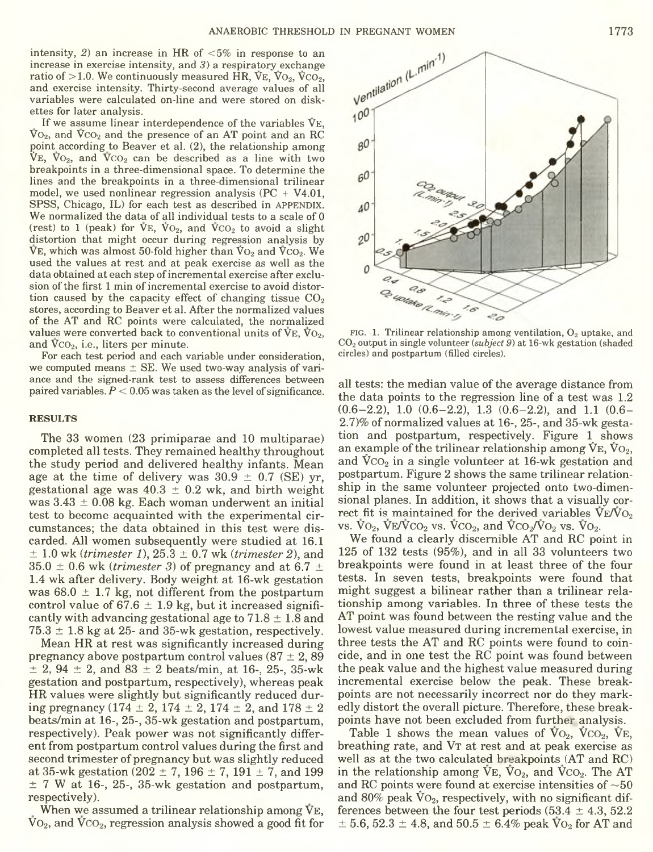intensity, *2)* an increase in HR of <5% in response to an increase in exercise intensity, and 3) a respiratory exchange ratio of  $>1.0$ . We continuously measured HR,  $V_{E}$ ,  $V_{O_2}$ ,  $V_{CO_2}$ , and exercise intensity. Thirty-second average values of all variables were calculated on-line and were stored on diskettes for later analysis.

If we assume linear interdependence of the variables Ve,  $\rm V_{O_2}$ , and  $\rm V_{CO_2}$  and the presence of an AT point and an RC point according to Beaver et al. (2), the relationship among  $V_{E}$ ,  $V_{O_2}$ , and  $V_{CO_2}$  can be described as a line with two breakpoints in a three-dimensional space. To determine the lines and the breakpoints in a three-dimensional trilinear model, we used nonlinear regression analysis  $(PC + V4.01,$ SPSS, Chicago, IL) for each test as described in APPENDIX. We normalized the data of all individual tests to a scale of 0 (rest) to 1 (peak) for  $\nabla E$ ,  $\nabla O_2$ , and  $\nabla CO_2$  to avoid a slight distortion that might occur during regression analysis by  $\nabla$ E, which was almost 50-fold higher than  $V_{{\rm O}_2}$  and  $V_{{\rm CO}_2}$ . We used the values at rest and at peak exercise as well as the data obtained at each step of incremental exercise after exclusion of the first 1 min of incremental exercise to avoid distortion caused by the capacity effect of changing tissue  $CO<sub>2</sub>$ stores, according to Beaver et al. After the normalized values of the AT and RC points were calculated, the normalized values were converted back to conventional units of  $V_{E}$ ,  $\overline{V}_{Q_2}$ , and  $VCO<sub>2</sub>$ , i.e., liters per minute.

For each test period and each variable under consideration, we computed means  $\pm$  SE. We used two-way analysis of variance and the signed-rank test to assess differences between paired variables. *P <* 0.05 was taken as the level of significance.

### **RESULTS**

The 33 women (23 primiparae and 10 multiparae) completed all tests. They remained healthy throughout the study period and delivered healthy infants. Mean age at the time of delivery was  $30.9 \pm 0.7$  (SE) yr, gestational age was  $40.3 \pm 0.2$  wk, and birth weight was  $3.43 \pm 0.08$  kg. Each woman underwent an initial test to become acquainted with the experimental circumstances; the data obtained in this test were discarded. All women subsequently were studied at 16.1 ± 1.0 wk (*trimester 1),* 25.3 ± 0.7 wk *(trimester 2),* and  $35.0 \pm 0.6$  wk (*trimester 3*) of pregnancy and at 6.7  $\pm$ 1.4 wk after delivery. Body weight at 16-wk gestation was 68.0  $\pm$  1.7 kg, not different from the postpartum control value of 67.6  $\pm$  1.9 kg, but it increased significantly with advancing gestational age to  $71.8 \pm 1.8$  and  $75.3 \pm 1.8$  kg at 25- and 35-wk gestation, respectively.

Mean HR at rest was significantly increased during pregnancy above postpartum control values  $(87 \pm 2, 89)$  $\pm$  2, 94  $\pm$  2, and 83  $\pm$  2 beats/min, at 16-, 25-, 35-wk gestation and postpartum, respectively), whereas peak HR values were slightly but significantly reduced during pregnancy (174  $\pm$  2, 174  $\pm$  2, 174  $\pm$  2, and 178  $\pm$  2 beats/min at 16-, 25-, 35-wk gestation and postpartum, respectively). Peak power was not significantly different from postpartum control values during the first and second trimester of pregnancy but was slightly reduced at 35-wk gestation (202  $\pm$  7, 196  $\pm$  7, 191  $\pm$  7, and 199  $\pm$  7 W at 16-, 25-, 35-wk gestation and postpartum, respectively).

When we assumed a trilinear relationship among VE.  $Vo<sub>2</sub>$ , and  $VCO<sub>2</sub>$ , regression analysis showed a good fit for



FIG. 1. Trilinear relationship among ventilation,  $O_2$  uptake, and C 02 output in single volunteer *(subject 9)* at 16-wk gestation (shaded circles) and postpartum (filled circles).

all tests: the median value of the average distance from the data points to the regression line of a test was 1.2 (0.6-2.2), 1.0 (0.6-2.2), 1.3 (0.6-2.2), and 1.1 (0.6- 2.7)% of normalized values at 16-, 25-, and 35-wk gestation and postpartum, respectively. Figure 1 shows an example of the trilinear relationship among  $V_{E}$ ,  $V_{O_2}$ , and  $VCO<sub>2</sub>$  in a single volunteer at 16-wk gestation and postpartum. Figure 2 shows the same trilinear relationship in the same volunteer projected onto two-dimensional planes. In addition, it shows that a visually correct fit is maintained for the derived variables  $V_{E}/V_{O_2}$ vs.  $\overline{V}O_2$ ,  $\overline{V}E/\overline{V}CO_2$  vs.  $\overline{V}CO_2$ , and  $\overline{V}CO_2/\overline{V}O_2$  vs.  $\overline{V}O_2$ .

We found a clearly discernible AT and RC point in 125 of 132 tests (95%), and in all 33 volunteers two breakpoints were found in at least three of the four tests. In seven tests, breakpoints were found that might suggest a bilinear rather than a trilinear relationship among variables. In three of these tests the AT point was found between the resting value and the lowest value measured during incremental exercise, in three tests the AT and RC points were found to coincide, and in one test the RC point was found between the peak value and the highest value measured during incremental exercise below the peak. These breakpoints are not necessarily incorrect nor do they markedly distort the overall picture. Therefore, these breakpoints have not been excluded from further analysis.

Table 1 shows the mean values of  $\mathrm{V}_{\mathrm{O}_2}$ ,  $\mathrm{V}_{\mathrm{CO}_2}$ ,  $\mathrm{V}_{\mathrm{E}_2}$ breathing rate, and VT at rest and at peak exercise as well as at the two calculated breakpoints (AT and RC) in the relationship among  $\overline{V}E$ ,  $\overline{V}O_2$ , and  $\overline{V}CO_2$ . The AT and RC points were found at exercise intensities of  $\sim$  50 and 80% peak  $\overline{V}O_2$ , respectively, with no significant differences between the four test periods  $(53.4 \pm 4.3, 52.2)$  $\pm$  5.6, 52.3  $\pm$  4.8, and 50.5  $\pm$  6.4% peak V<sub>O<sub>2</sub> for AT and</sub>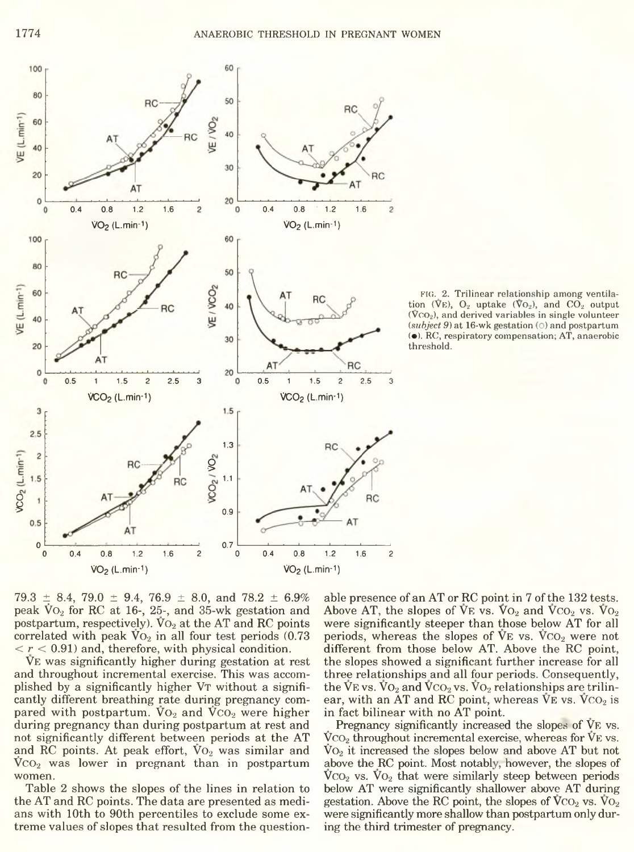

FIG. 2. Trilinear relationship among ventilation (VE),  $O_2$  uptake (V $O_2$ ), and CO<sub>2</sub> output  $(\bar{V}CO_2)$ , and derived variables in single volunteer (subject 9) at 16-wk gestation (O) and postpartum (•). RC, respiratory compensation; AT, anaerobic threshold.

 $79.3 \pm 8.4, 79.0 \pm 9.4, 76.9 \pm 8.0,$  and  $78.2 \pm 6.9\%$ peak  $\rm VO_2$  for RC at 16-, 25-, and 35-wk gestation and postpartum, respectively).  $\rm Vo_{2}$  at the AT and RC points correlated with peak  $\bar{V}O_2$  in all four test periods (0.73)  $\langle r < 0.91 \rangle$  and, therefore, with physical condition.

Ve was significantly higher during gestation at rest and throughout incremental exercise. This was accomplished by a significantly higher VT without a significantly different breathing rate during pregnancy compared with postpartum.  $VO<sub>2</sub>$  and  $\overline{VCO}_{2}$  were higher during pregnancy than during postpartum at rest and not significantly different between periods at the AT and RC points. At peak effort,  $Vo_2$  was similar and  $VCO<sub>2</sub>$  was lower in pregnant than in postpartum women.

Table 2 shows the slopes of the lines in relation to the AT and RC points. The data are presented as medians with 10th to 90th percentiles to exclude some extreme values of slopes that resulted from the questionable presence of an AT or RC point in 7 of the 132 tests. Above AT, the slopes of  $VF$  vs.  $Vo_2$  and  $VCO_2$  vs.  $Vo_2$ were significantly steeper than those below AT for all periods, whereas the slopes of  $V_{E}$  vs.  $V_{C_2}$  were not different from those below AT. Above the RC point, the slopes showed a significant further increase for all three relationships and all four periods. Consequently, the VE vs.  $\rm V_{O_2}$  and  $\rm V_{CO_2}$  vs.  $\rm V_{O_2}$  relationships are trilinear, with an AT and RC point, whereas  $V_{E}$  vs.  $V_{C_2}$  is in fact bilinear with no AT point.

Pregnancy significantly increased the slopes of VE vs.  $VCO<sub>2</sub>$  throughout incremental exercise, whereas for  $V<sub>E</sub>$  vs.  $\overline{V}O_2$  it increased the slopes below and above AT but not above the RC point. Most notably, however, the slopes of  $VCO<sub>2</sub>$  vs.  $VO<sub>2</sub>$  that were similarly steep between periods below AT were significantly shallower above AT during gestation. Above the RC point, the slopes of  $VCO<sub>2</sub>$  vs.  $VO<sub>2</sub>$ were significantly more shallow than postpartum only during the third trimester of pregnancy.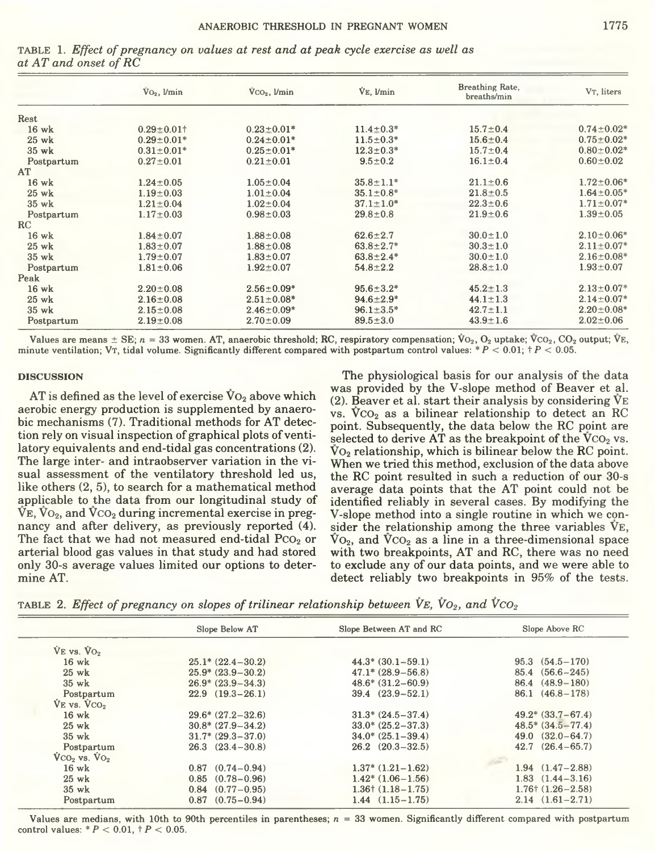|            | $\rm{Vo}_2$ , $\rm{Umin}$ | $VCO2$ , $Vmin$   | $V_E$ , $V_{min}$ | Breathing Rate,<br>breaths/min | V <sub>T</sub> , liters      |
|------------|---------------------------|-------------------|-------------------|--------------------------------|------------------------------|
| Rest       |                           |                   |                   |                                |                              |
| 16 wk      | $0.29 \pm 0.01$ +         | $0.23 \pm 0.01*$  | $11.4 \pm 0.3*$   | $15.7 \pm 0.4$                 | $0.74 \pm 0.02$ <sup>*</sup> |
| 25 wk      | $0.29 \pm 0.01*$          | $0.24 \pm 0.01*$  | $11.5 \pm 0.3*$   | $15.6 \pm 0.4$                 | $0.75 + 0.02$                |
| 35 wk      | $0.31 \pm 0.01*$          | $0.25 \pm 0.01*$  | $12.3 \pm 0.3*$   | $15.7 \pm 0.4$                 | $0.80 + 0.02$                |
| Postpartum | $0.27 \pm 0.01$           | $0.21 \pm 0.01$   | $9.5 \pm 0.2$     | $16.1 \pm 0.4$                 | $0.60 \pm 0.02$              |
| AT         |                           |                   |                   |                                |                              |
| 16 wk      | $1.24 \pm 0.05$           | $1.05 \pm 0.04$   | $35.8 \pm 1.1*$   | $21.1 \pm 0.6$                 | $1.72 \pm 0.06$ <sup>*</sup> |
| 25 wk      | $1.19 \pm 0.03$           | $1.01 \pm 0.04$   | $35.1 \pm 0.8^*$  | $21.8 + 0.5$                   | $1.64 \pm 0.05*$             |
| 35 wk      | $1.21 \pm 0.04$           | $1.02 \pm 0.04$   | $37.1 \pm 1.0^*$  | $22.3 \pm 0.6$                 | $1.71 \pm 0.07$ <sup>*</sup> |
| Postpartum | $1.17 \pm 0.03$           | $0.98 \pm 0.03$   | $29.8 \pm 0.8$    | $21.9 \pm 0.6$                 | $1.39 \pm 0.05$              |
| RC         |                           |                   |                   |                                |                              |
| $16$ wk    | $1.84 \pm 0.07$           | $1.88 \pm 0.08$   | $62.6 \pm 2.7$    | $30.0 \pm 1.0$                 | $2.10 \pm 0.06$ <sup>*</sup> |
| $25$ wk    | $1.83 \pm 0.07$           | $1.88 \pm 0.08$   | $63.8 \pm 2.7*$   | $30.3 \pm 1.0$                 | $2.11 \pm 0.07$ <sup>*</sup> |
| 35 wk      | $1.79 \pm 0.07$           | $1.83 \pm 0.07$   | $63.8 \pm 2.4*$   | $30.0 \pm 1.0$                 | $2.16 \pm 0.08$ <sup>*</sup> |
| Postpartum | $1.81 \pm 0.06$           | $1.92 \pm 0.07$   | $54.8 \pm 2.2$    | $28.8 \pm 1.0$                 | $1.93 \pm 0.07$              |
| Peak       |                           |                   |                   |                                |                              |
| 16 wk      | $2.20 \pm 0.08$           | $2.56 \pm 0.09*$  | $95.6 \pm 3.2*$   | $45.2 \pm 1.3$                 | $2.13 \pm 0.07$              |
| $25$ wk    | $2.16 \pm 0.08$           | $2.51 \pm 0.08^*$ | $94.6 \pm 2.9^*$  | $44.1 \pm 1.3$                 | $2.14 \pm 0.07$ <sup>*</sup> |
| 35 wk      | $2.15 \pm 0.08$           | $2.46 \pm 0.09*$  | $96.1 \pm 3.5^*$  | $42.7 \pm 1.1$                 | $2.20 \pm 0.08$ <sup>*</sup> |
| Postpartum | $2.19 \pm 0.08$           | $2.70 \pm 0.09$   | $89.5 \pm 3.0$    | $43.9 \pm 1.6$                 | $2.02 \pm 0.06$              |

TABLE 1. Effect of pregnancy on values at rest and at peak cycle exercise as well as at AT and onset of RC

Values are means  $\pm$  SE;  $n = 33$  women. AT, anaerobic threshold; RC, respiratory compensation;  $\dot{V}O_2$ ,  $O_2$  uptake;  $\dot{V}CO_2$ ,  $CO_2$  output;  $\dot{V}E$ , minute ventilation; Vr, tidal volume. Significantly different compared with postpartum control values: \*  $P < 0.01$ ; +  $P < 0.05$ .

#### **DISCUSSION**

AT is defined as the level of exercise  $\rm Vo_{2}$  above which aerobic energy production is supplemented by anaerobic mechanisms (7). Traditional methods for AT detection rely on visual inspection of graphical plots of ventilatory equivalents and end-tidal gas concentrations (2). The large inter- and intraobserver variation in the visual assessment of the ventilatory threshold led us, like others (2, 5), to search for a mathematical method applicable to the data from our longitudinal study of  $V_{\rm E}$ ,  $V_{\rm O_2}$ , and  $V_{\rm CO_2}$  during incremental exercise in pregnancy and after delivery, as previously reported (4). The fact that we had not measured end-tidal PCO<sub>2</sub> or arterial blood gas values in that study and had stored only 30-s average values limited our options to determine AT.

The physiological basis for our analysis of the data was provided by the V-slope method of Beaver et al. (2). Beaver et al. start their analysis by considering  $V_{E}$ vs.  $\rm VCO_2$  as a bilinear relationship to detect an RC point. Subsequently, the data below the RC point are selected to derive AT as the breakpoint of the VCO<sub>2</sub> vs.  $\overline{V}O_2$  relationship, which is bilinear below the RC point. When we tried this method, exclusion of the data above the RC point resulted in such a reduction of our 30-s average data points that the AT point could not be identified reliably in several cases. By modifying the V-slope method into a single routine in which we consider the relationship among the three variables VE,  $\rm V_{O_2}$ , and  $\rm V_{CO_2}$  as a line in a three-dimensional space with two breakpoints, AT and RC, there was no need to exclude any of our data points, and we were able to detect reliably two breakpoints in 95% of the tests.

TABLE 2. Effect of pregnancy on slopes of trilinear relationship between  $V_{E}$ ,  $V_{O_2}$ , and  $V_{CO_2}$ 

|                  | Slope Below AT         | Slope Between AT and RC       | Slope Above RC             |
|------------------|------------------------|-------------------------------|----------------------------|
| $VE$ vs. $VO2$   |                        |                               |                            |
| $16 \text{ wk}$  | $25.1* (22.4 - 30.2)$  | $44.3*$ $(30.1-59.1)$         | $95.3$ $(54.5 - 170)$      |
| $25$ wk          | $25.9* (23.9 - 30.2)$  | $47.1*({\rm 28.9}-56.8)$      | $85.4$ $(56.6 - 245)$      |
| $35 \text{ wk}$  | $26.9* (23.9 - 34.3)$  | $48.6*$ $(31.2-60.9)$         | $86.4 \quad (48.9-180)$    |
| Postpartum       | $22.9$ $(19.3-26.1)$   | $39.4 \quad (23.9 - 52.1)$    | 86.1 (46.8-178)            |
| $VE$ vs. $VCO2$  |                        |                               |                            |
| $16 \text{ wk}$  | $29.6* (27.2 - 32.6)$  | $31.3* (24.5 - 37.4)$         | $49.2*({33.7}-67.4)$       |
| $25 \text{ wk}$  | $30.8* (27.9 - 34.2)$  | $33.0* (25.2 - 37.3)$         | $48.5*$ $(34.5-77.4)$      |
| $35 \text{ wk}$  | $31.7*$ $(29.3-37.0)$  | $34.0* (25.1 - 39.4)$         | $49.0 \quad (32.0 - 64.7)$ |
| Postpartum       | $26.3$ $(23.4-30.8)$   | $26.2 \quad (20.3-32.5)$      | $42.7$ $(26.4 - 65.7)$     |
| $VCO2$ vs. $VO2$ |                        |                               |                            |
| $16 \text{ wk}$  | $0.87$ $(0.74 - 0.94)$ | $1.37*$ $(1.21-1.62)$         | $1.94$ $(1.47-2.88)$       |
| $25$ wk          | $0.85$ $(0.78-0.96)$   | $1.42^*$ (1.06 – 1.56)        | $1.83$ $(1.44 - 3.16)$     |
| $35 \text{ wk}$  | $0.84$ $(0.77-0.95)$   | $1.36 \uparrow (1.18 - 1.75)$ | $1.76 \pm (1.26 - 2.58)$   |
| Postpartum       | $0.87$ $(0.75-0.94)$   | $1.44$ $(1.15-1.75)$          | $2.14(1.61 - 2.71)$        |

Values are medians, with 10th to 90th percentiles in parentheses;  $n = 33$  women. Significantly different compared with postpartum control values: \*  $P < 0.01$ ,  $\dagger P < 0.05$ .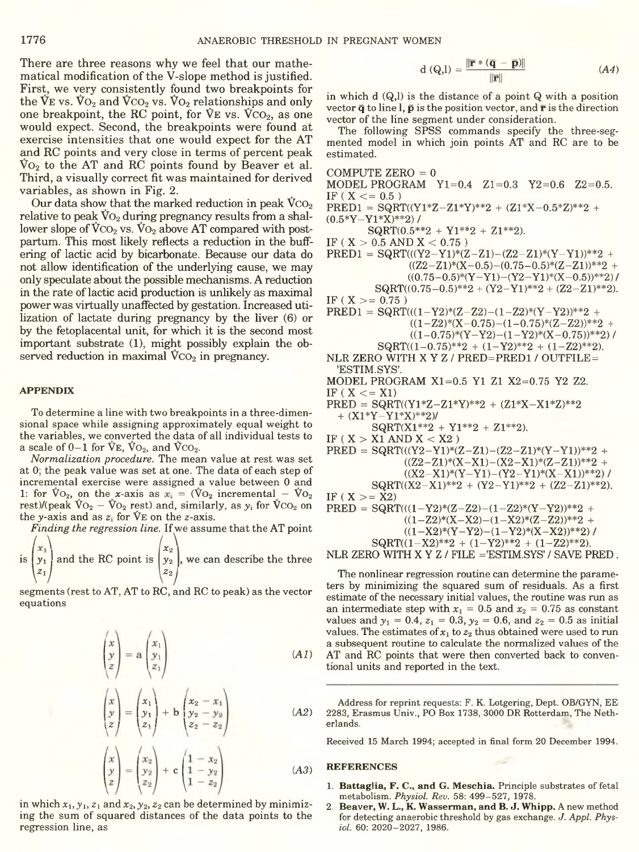There are three reasons why we feel that our mathematical modification of the V-slope method is justified. First, we very consistently found two breakpoints for the VE vs.  $\text{Vo}_2$  and  $\text{Vco}_2$  vs.  $\text{Vo}_2$  relationships and only one breakpoint, the RC point, for  $V_{E}$  vs.  $V_{C_2}$ , as one would expect. Second, the breakpoints were found at exercise intensities that one would expect for the AT and RC points and very close in terms of percent peak  $\rm V_{O_2}$  to the AT and RC points found by Beaver et al. Third, a visually correct fit was maintained for derived variables, as shown in Fig. 2.

Our data show that the marked reduction in peak  $\rm VCO_2$ relative to peak  $\rm\ddot{V}o_{2}$  during pregnancy results from a shallower slope of  $\rm VCO_2$  vs.  $\rm\bar{V}O_2$  above AT compared with postpartum. This most likely reflects a reduction in the buffering of lactic acid by bicarbonate. Because our data do not allow identification of the underlying cause, we may only speculate about the possible mechanisms. A reduction in the rate of lactic acid production is unlikely as maximal power was virtually unaffected by gestation. Increased utilization of lactate during pregnancy by the liver (6) or by the fetoplacental unit, for which it is the second most important substrate (1), might possibly explain the observed reduction in maximal  $VCO<sub>2</sub>$  in pregnancy.

## **APPENDIX**

To determine a line with two breakpoints in a three-dimensional space while assigning approximately equal weight to the variables, we converted the data of all individual tests to a scale of  $0-1$  for  $\bar{V}E$ ,  $\bar{V}O_2$ , and  $\bar{V}CO_2$ .

*Normalization procedure.* The mean value at rest was set at 0; the peak value was set at one. The data of each step of incremental exercise were assigned a value between 0 and 1: for  $\text{Vo}_2$ , on the x-axis as  $x_i = (\text{Vo}_2 \text{ incremental} - \text{Vo}_2)$ rest)/(peak  $\overline{V}o_2 - \overline{V}o_2$  rest) and, similarly, as  $y_i$  for  $\overline{V}co_2$  on the y-axis and as  $z_i$  for  $\nabla E$  on the z-axis.

*Finding the regression line.* If we assume that the AT point  $\begin{pmatrix} x_1 \\ x_2 \end{pmatrix}$  $\begin{pmatrix} x_1 \ y_1 \ z_1 \end{pmatrix}$  and the RC point is  $\begin{pmatrix} x_2 \ y_2 \ z_2 \end{pmatrix}$ , we can describe the three<br>segments (rest to AT, AT to RC, and RC to peak) as the vector

segments (rest to AT, AT to RC, and RC to peak) as the vector equations

$$
\begin{pmatrix} x \\ y \\ z \end{pmatrix} = \mathbf{a} \begin{pmatrix} x_1 \\ y_1 \\ z_1 \end{pmatrix} \tag{A1}
$$

$$
\begin{pmatrix} x \ y \ z \end{pmatrix} = \begin{pmatrix} x_1 \ y_1 \ z_1 \end{pmatrix} + b \begin{pmatrix} x_2 - x_1 \ y_2 - y_2 \ z_2 - z_2 \end{pmatrix}
$$
 (A2)

$$
\begin{pmatrix} x \\ y \\ z \end{pmatrix} = \begin{pmatrix} x_2 \\ y_2 \\ z_2 \end{pmatrix} + c \begin{pmatrix} 1 - x_2 \\ 1 - y_2 \\ 1 - z_2 \end{pmatrix}
$$
 (A3)

in which  $x_1, y_1, z_1$  and  $x_2, y_2, z_2$  can be determined by minimizing the sum of squared distances of the data points to the regression line, as

$$
d(Q, I) = \frac{\|\overline{\mathbf{r}} * (\overline{\mathbf{q}} - \overline{\mathbf{p}})\|}{\|\overline{\mathbf{r}}\|}
$$
 (A4)

in which  $d(Q, l)$  is the distance of a point  $Q$  with a position vector  $\bar{q}$  to line l,  $\bar{p}$  is the position vector, and  $\bar{r}$  is the direction vector of the line segment under consideration.

The following SPSS commands specify the three-segmented model in which join points AT and RC are to be estimated.

COMPUTE  $\text{ZERO} = 0$ MODEL PROGRAM Yl=0.4 Zl=0.3 Y2=0.6 Z2=0.5. IF ( $X \le 0.5$ )  $PRED1 = SQRT((Y1*Z-Z1*Y)**2 + (Z1*X-0.5*Z)**2 +$  $(0.5*Y-Y1*X)**2) /$  $SQRT(0.5**2 + Y1**2 + Z1**2).$ IF (  $X > 0.5$  AND  $X < 0.75$  )  $PRED1 = SQRT(((Y2-Y1)*(Z-Z1)-(Z2-Z1)*(Y-Y1))**2 +$  $((Z2-Z1)*(X-0.5)-(0.75-0.5)*(Z-Z1))**2 +$  $((0.75-0.5)*(Y-Y1)-(Y2-Y1)*(X-0.5))**2)$ /  $SQRT((0.75-0.5)*2 + (Y2-Y1)*2 + (Z2-Z1)*2).$ IF ( $X > = 0.75$ )  $PRED1 = SQRT(((1-Y2)*(Z-Z2)-(1-Z2)*(Y-Y2))**2 +$  $((1-Z2)*(X-0.75)-(1-0.75)*(Z-Z2))**2 +$  $((1-0.75)*(Y-Y2)-(1-Y2)*(X-0.75))**2) /$  $SQRT((1-0.75)$ \*\*2 +  $(1-Y2)$ \*\*2 +  $(1-Z2)$ \*\*2). NLR ZERO WITH X Y Z / PRED=PRED1 / OUTFILE = 'ESTIM.SYS'. MODEL PROGRAM Xl=0.5 Y1 Z1 X2=0.75 Y2 Z2. IF ( $X \leq X1$ )  $PRED = SQRT((Y1*Z-Z1*Y)**2 + (Z1*X-X1*Z)**2$  $+$   $(X1*Y-Y1*X)**2$  $SQRT(X1**2 + Y1**2 + Z1**2).$ IF (  $X > X1$  AND  $X < X2$  )  $PRED = SQRT(((Y2-Y1)*(Z-Z1)-(Z2-Z1)*(Y-Y1))*2 +$  $((Z2-Z1)*(X-X1)-(X2-X1)*(Z-Z1))**2 +$  $((X2-X1)*(Y-Y1)-(Y2-Y1)*(X-X1))*2)$  /  $SQRT((X2-X1)*2 + (Y2-Y1)*2 + (Z2-Z1)*2).$ IF ( $X > = X2$ )  $PRED = SQRT(((1-Y2)*(Z-Z2)-(1-Z2)*(Y-Y2))**2 +$  $((1-Z2)*(X-X2)-(1-X2)*(Z-Z2))**2 +$  $((1-X2)*(Y-Y2)-(1-Y2)*(X-X2))**2)$  $SQRT((1-X2)*2 + (1-Y2)*2 + (1-Z2)*2).$ NLR ZERO WITH X Y Z / FILE ='ESTIM.SYS' / SAVE PRED .

The nonlinear regression routine can determine the parameters by minimizing the squared sum of residuals. As a first estimate of the necessary initial values, the routine was run as an intermediate step with  $x_1 = 0.5$  and  $x_2 = 0.75$  as constant values and  $y_1 = 0.4$ ,  $z_1 = 0.3$ ,  $y_2 = 0.6$ , and  $z_2 = 0.5$  as initial values. The estimates of  $x_1$  to  $z_2$  thus obtained were used to run a subsequent routine to calculate the normalized values of the AT and RC points that were then converted back to conventional units and reported in the text.

Address for reprint requests: F. K. Lotgering, Dept. OB/GYN, EE 2283, Erasmus Univ., PO Box 1738, 3000 DR Rotterdam, The Netherlands.

Received 15 March 1994; accepted in final form 20 December 1994.

#### **REFERENCES**

- 1. **Battaglia, F. C., and G. Meschia.** Principle substrates of fetal metabolism. *Physiol. Rev.* 58: 499-527, 1978.
- 2. **Beaver, W. L., K. Wasserman, and B. J. Whipp.** A new method for detecting anaerobic threshold by gas exchange. *J. Appl. Physiol.* 60: 2020-2027, 1986.